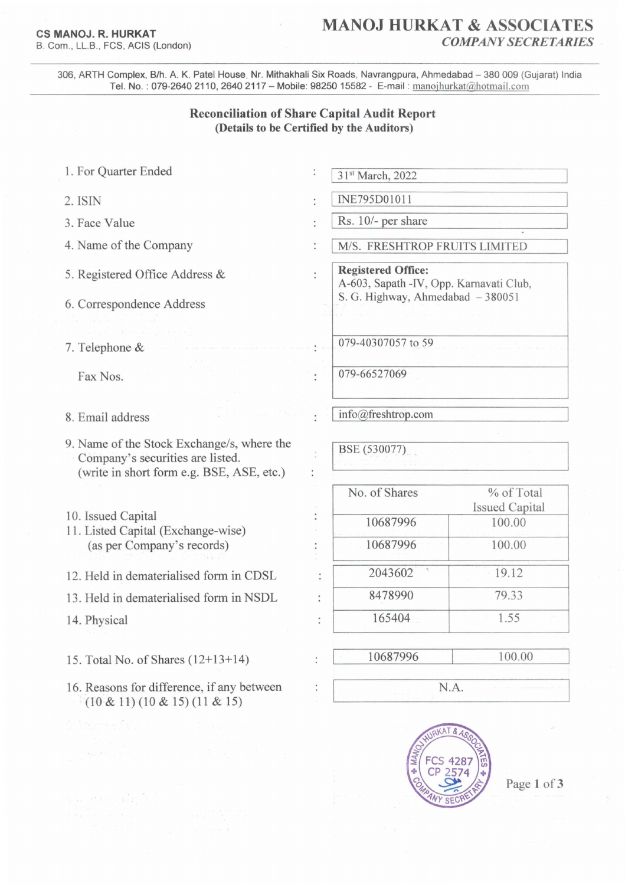## **CS MANOJ. R. HURKAT**  B. Com. , LL.B., FCS, ACIS (London)

## **MANOJ HURKAT & ASSOCIATES** *COkfPANYSECRETARIES*

306, ARTH Complex, B/h. A. K. Patel House, Nr. Mithakhali Six Roads, Navrangpura, Ahmedabad - 380 009 (Gujarat) India Tel. No.: 079-2640 2110, 2640 2117 - Mobile: 98250 15582 - E-mail: manojhurkat@hotmail.com

## **Reconciliation of Share Capital Audit Report (Details to be Certified by the Auditors)**

- 1. For Quarter Ended
- 2.ISIN
- 3. Face Value
- 4. Name of the Company
- 5. Registered Office Address &
- 6. Correspondence Address
- 7. Telephone &

Fax Nos.

- 8. Email address
- 9. Name of the Stock Exchange/s, where the Company's securities are listed. (write in short form e.g. BSE, ASE, etc.)
- 10. Issued Capital
- 11. Listed Capital (Exchange-wise) (as per Company's records)
- 12. Held in dematerialised form in CDSL
- 13. Held in dematerialised form in NSDL
- 14. Physical
- 15. Total No. of Shares (12+13+14)
- 16. Reasons for difference, if any between  $(10 \& 11)(10 \& 15)(11 \& 15)$
- INE795DOIOll Rs. 10/- per share
- *MIS.* FRESHTROP FRUITS LIMITED

**Registered Office:**  A-603, Sapath -IV, Opp. Karnavati Club, S. G. Highway, Ahmedabad  $-380051$ 

079-40307057 to 59

31st March, 2022

079-66527069

info@freshtrop.com

BSE (530077)

 $\ddot{\phantom{a}}$ 

 $\ddot{\cdot}$ 

t

 $\ddot{\phantom{a}}$ 

| No. of Shares | % of Total            |
|---------------|-----------------------|
|               | <b>Issued Capital</b> |
| 10687996      | 100.00                |
| 10687996      | 100.00                |
| 2043602       | 19.12                 |
| 8478990       | 79.33                 |
| 165404        | 1.55                  |
|               |                       |
| 10687996      | 100.00                |



N.A.

Page 1 of 3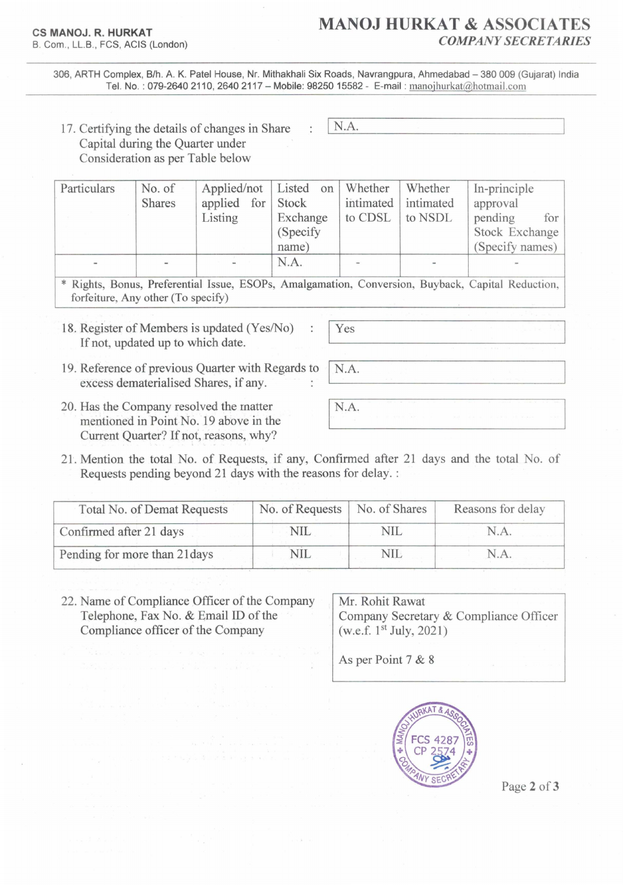306, ARTH Complex, B/h. A. K. Patel House, Nr. Mithakhali Six Roads, Navrangpura, Ahmedabad - 380 009 (Gujarat) India Tel. No.: 079-2640 2110, 2640 2117 - Mobile: 98250 15582 - E-mail: manojhurkat@hotmail.com

N.A.

17. Certifying the details of changes in Share Capital during the Quarter under Consideration as per Table below

| Particulars | No. of<br><b>Shares</b>  | Applied/not Listed on<br>applied for Stock<br>Listing | Exchange<br>(Specify) | Whether<br>to CDSL       | Whether<br>intimated intimated<br>to NSDL | In-principle<br>approval<br>pending<br>for<br>Stock Exchange |
|-------------|--------------------------|-------------------------------------------------------|-----------------------|--------------------------|-------------------------------------------|--------------------------------------------------------------|
|             |                          |                                                       | name)                 |                          |                                           | (Specify names)                                              |
|             | $\overline{\phantom{a}}$ | $\overline{\phantom{a}}$                              | N.A.                  | $\overline{\phantom{a}}$ |                                           | $\sim$                                                       |

\* Rights, Bonus, Preferential Issue, ESOPs, Amalgamation, Conversion, Buyback, Capital Reduction, forfeiture, Any other (To specify)

18. Register of Members is updated (Yes/No) If not, updated up to which date.

19. Reference of previous Quarter with Regards to **N.A.** excess dematerialised Shares, if any.

- 20. Has the Company resolved the matter mentioned in Point No. 19 above in the Current Quarter? If not, reasons, why?
- 21. Mention the total No. of Requests, if any, Conftrmed after 21 days and the total No. of Requests pending beyond 21 days with the reasons for delay. :

| Total No. of Demat Requests   | No. of Requests | No. of Shares | Reasons for delay |
|-------------------------------|-----------------|---------------|-------------------|
| Confirmed after 21 days       | NIL             | NIL.          | N.A.              |
| Pending for more than 21 days | NIL             | NIL           | N.A.              |

22. Name of Compliance Officer of the Company Telephone, Fax No. & Email ID of the Compliance officer of the Company

Mr. Rohit Rawat Company Secretary & Compliance Officer (w.e.f.  $1^{st}$  July, 2021)

As per Point 7 & 8



Page 2 of 3

N.A.

Yes